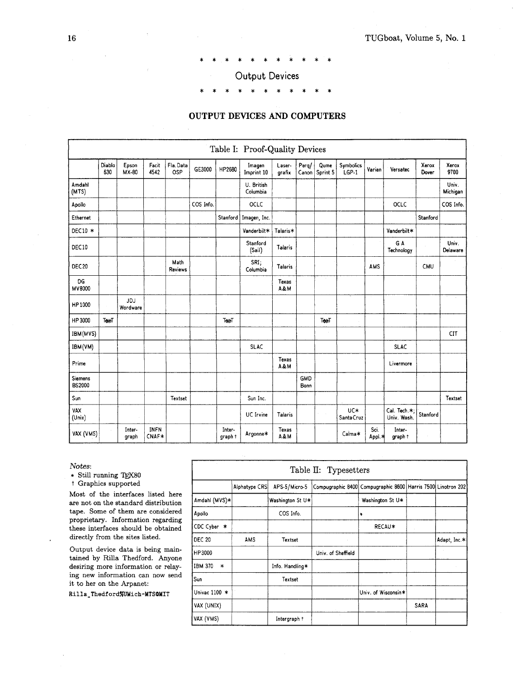\*\*\*\*\*\*\*\*\*\*\*

# Output Devices

# \*\*\*\*\*\*\*\*\*\*\*

# **OUTPUT DEVICES AND COMPUTERS**

|                   |               |                 |                      |                  |           |                   | Table I: Proof-Quality Devices |                  |                    |                  |                      |                |                             |                |                   |
|-------------------|---------------|-----------------|----------------------|------------------|-----------|-------------------|--------------------------------|------------------|--------------------|------------------|----------------------|----------------|-----------------------------|----------------|-------------------|
|                   | Diablo<br>630 | Epson<br>MX-80  | Facit<br>4542        | Fla. Data<br>OSP | GE3000    | HP2680            | Imagen<br>Imprint 10           | Laser-<br>grafix | Perg/<br>Canon     | Qume<br>Sprint 5 | Symbolics<br>$LGP-1$ | Varian         | Versatec                    | Xerox<br>Dover | Xerox<br>9700     |
| Amdahl<br>(MTS)   |               |                 |                      |                  |           |                   | U. British<br>Columbia         |                  |                    |                  |                      |                |                             |                | Univ.<br>Michigan |
| Apollo            |               |                 |                      |                  | COS Info. |                   | OCLC                           |                  |                    |                  |                      |                | OCLC                        |                | COS Info.         |
| Ethernet          |               |                 |                      |                  |           | Stanford          | Imagen, Inc.                   |                  |                    |                  |                      |                |                             | Stanford       |                   |
| DEC10 *           |               |                 |                      |                  |           |                   | Vanderbilt*                    | Talaris*         |                    |                  |                      |                | Vanderbilt*                 |                |                   |
| DEC10             |               |                 |                      |                  |           |                   | Stanford<br>(Sail)             | Talaris          |                    |                  | $\sim$               |                | G A<br>Technology           |                | Univ.<br>Delaware |
| DEC <sub>20</sub> |               |                 |                      | Math<br>Reviews  |           |                   | SRI;<br>Columbia               | <b>Talaris</b>   |                    |                  |                      | AMS            |                             | CMU            |                   |
| DG<br>MV8000      |               |                 |                      |                  | $\sim$    |                   |                                | Texas<br>A&M     |                    |                  |                      |                |                             |                |                   |
| HP1000            |               | JDJ<br>Wordware |                      |                  |           |                   |                                |                  |                    |                  |                      |                |                             |                |                   |
| HP 3000           | Texel         |                 |                      |                  |           | TexeT             |                                |                  |                    | Texel            |                      |                |                             |                |                   |
| IBM(MVS)          |               |                 |                      |                  |           |                   |                                |                  |                    |                  |                      |                |                             |                | CIT               |
| IBM(VM)           |               |                 |                      |                  |           |                   | <b>SLAC</b>                    |                  |                    |                  |                      |                | <b>SLAC</b>                 |                |                   |
| Prime             |               |                 |                      |                  |           |                   |                                | Texas<br>A&M     |                    |                  |                      |                | Livermore                   |                |                   |
| Siemens<br>BS2000 |               |                 |                      |                  |           | $\bar{z}$         |                                |                  | <b>GMD</b><br>Bonn |                  |                      |                |                             |                |                   |
| Sun               |               |                 |                      | Textset          |           |                   | Sun Inc.                       |                  |                    |                  |                      |                |                             |                | Textset           |
| VAX<br>(Unix)     |               |                 |                      |                  |           |                   | UC Irvine                      | Talaris          |                    |                  | UC*<br>Santa Cruz    |                | Cal. Tech.*:<br>Univ. Wash. | Stanford       |                   |
| VAX (VMS)         |               | Inter-<br>graph | <b>INFN</b><br>CNAF* |                  |           | Inter-<br>graph t | Argonne*                       | Texas<br>A&M     |                    |                  | Calma*               | Sci.<br>Appl * | Inter-<br>graph t           |                |                   |

Notes:

\* Still running TEX80

t Graphics supported

Most of the interfaces listed here are not on the standard distribution tape. Some of them are considered proprietary. Information regarding these interfaces should be obtained directly from the sites listed.

Output device data is being maintained by Rilla Thedford. Anyone desiring more information or relaying new information can now send it to her on the Arpanet:

Rilla\_Thedford%UMich-MTSOMIT

| <b>THEF-</b><br>graph † | Argonne*      | 100000<br>A&M    | Calma*                | vu.<br>,,,,,,,<br>Appl *<br>graph †                          |      |              |
|-------------------------|---------------|------------------|-----------------------|--------------------------------------------------------------|------|--------------|
|                         | $\sim$ $\sim$ |                  |                       |                                                              |      |              |
|                         |               |                  | Table II: Typesetters |                                                              |      |              |
|                         | Alphatype CRS | APS-5/Micro-5    |                       | Compugraphic 8400 Compugraphic 8600 Harris 7500 Linotron 202 |      |              |
| Amdahi (MVS)∗           |               | Washington St U* |                       | Washington St U*                                             |      |              |
| Apollo                  |               | COS Info.        |                       | ٠                                                            |      |              |
| CDC Cyber *             |               |                  |                       | RECAU*                                                       |      |              |
| <b>DEC 20</b>           | <b>AMS</b>    | Textset          |                       |                                                              |      | Adapt, Inc.* |
| HP3000                  |               |                  | Univ. of Sheffield    |                                                              |      |              |
| IBM 370<br>$\ast$       |               | Info. Handling*  |                       |                                                              |      |              |
| Sun                     |               | Textset          |                       |                                                              |      |              |
| Univac 1100 *           |               |                  |                       | Univ. of Wisconsin*                                          |      |              |
| VAX (UNIX)              |               |                  |                       |                                                              | SARA |              |
| VAX (VMS)               |               | Intergraph +     |                       |                                                              |      |              |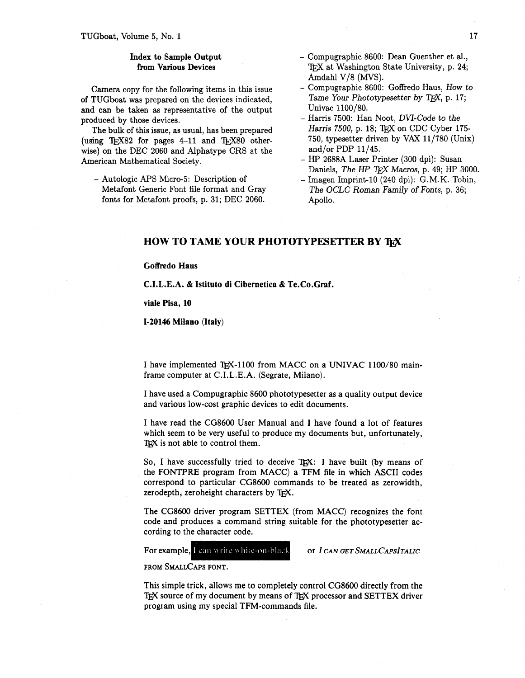## **Index** to Sample Output from Various Devices

Camera copy for the following items in this issue of TUGboat was prepared on the devices indicated, and can be taken as representative of the output produced by those devices.

The bulk of this issue, as usual, has been prepared (using  $TrX82$  for pages  $4-11$  and  $TrX80$  otherwise) on the DEC 2060 and Alphatype CRS at the American Mathematical Society.

- Autologic APS Micro-5: Description of Metafont Generic Font file format and Gray fonts for Metafont proofs, p. 31; DEC 2060.

- Compugraphic 8600: Dean Guenther et al., TFX at Washington State University, p. 24; Amdahl V/8 *(MVS).*
- Compugraphic 8600: Goffredo Haus, How to Tame Your Phototypesetter by T<sub>F</sub>X, p. 17; Univac 1100/80.
- Harris 7500: Han Noot, DVI-Code to the Harris 7500, p. 18; TFX on CDC Cyber 175-750, typesetter driven by VAX 11/780 (Unix) and/or PDP 11/45.
- *HP* 2688A Laser Printer (300 dpi): Susan Daniels, *The HP <sup>T</sup>FX Macros*, p. 49; *HP* 3000.
- Imagen Imprint-10 (240 dpi): G.M.K. Tobin, The OCLC Roman Family of Fonts, p. 36; Apollo.

# **HOW TO TAME YOUR PHOTOTYPESETTER BY TFX**

#### **Goffredo Haus**

**C.I.L.E.A.** & **Istituto di Cibernetica** & **Te.Co.Graf.** 

**viale Pisa, 10** 

#### **1-20146 Milano (Italy)**

I have implemented TEX-1100 from MACC on a UNIVAC 1100/80 mainframe computer at C.I.L.E.A. (Segrate, Milano).

I have used a Compugraphic 8600 phototypesetter as a quality output device and various low-cost graphic devices to edit documents.

I have read the CG8600 User Manual and I have found a lot of features which seem to be very useful to produce my documents but, unfortunately, TEX is not able to control them.

So, I have successfully tried to deceive T<sub>F</sub>X: I have built (by means of the FONTPRE program from MACC) a TFM file in which ASCII codes correspond to particular CG8600 commands to be treated as zerowidth, zerodepth, zeroheight characters by TFX.

The CG8600 driver program SETTEX (from MACC) recognizes the font code and produces a command string suitable for the phototypesetter according to the character code.

For example, I can write white-on-black

OF I CAN GET SMALL CAPSITALIC

FROM SMALLCAPS FONT.

This simple trick, allows me to completely control CG8600 directly from the TFX source of my document by means of TFX processor and SETTEX driver program using my special TFM-commands file.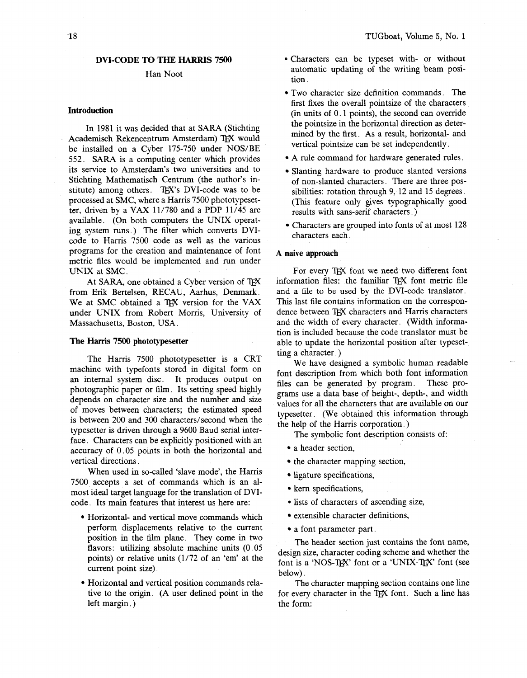#### Han Noot

#### **Introduction**

In 1981 it was decided that at SARA (Stichting Academisch Rekencentrum Amsterdam) TEX would be installed on a Cyber 175-750 under NOS/BE 552. SARA is a computing center which provides its service to Amsterdam's two universities and to Stichting Mathematisch Centrum (the author's institute) among others. TFX's DVI-code was to be processed at SMC, where a Harris 7500 phototypesetter, driven by a VAX 11/780 and a PDP 11/45 are available. (On both computers the UNIX operating system runs.) The filter which converts DVIcode to Harris 7500 code as well as the various programs for the creation and maintenance of font metric files would be implemented and run under UNIX at SMC.

At SARA, one obtained a Cyber version of TFX from Erik Bertelsen, RECAU, Aarhus, Denmark. We at SMC obtained a TEX version for the VAX under UNIX from Robert Morris, University of Massachusetts, Boston, USA.

### **The Harris 7500 phototypesetter**

The Harris 7500 phototypesetter is a CRT machine with typefonts stored in digital form on an internal system disc. It produces output on photographic paper or film. Its setting speed highly depends on character size and the number and size of moves between characters; the estimated speed is between 200 and 300 characters/second when the typesetter is driven through a 9600 Baud serial interface. Characters can be explicitly positioned with an accuracy of 0.05 points in both the horizontal and vertical directions.

When used in so-called 'slave mode', the Harris 7500 accepts a set of commands which is an almost ideal target language for the translation of DVIcode. Its main features that interest us here are:

- Horizontal- and vertical move commands which perform displacements relative to the current position in the film plane. They come in two flavors: utilizing absolute machine units (0.05 points) or relative units (1/72 of an 'em' at the current point size).
- Horizontal and vertical position commands relative to the origin. (A user defined point in the left margin. )
- Characters can be typeset with- or without automatic updating of the writing beam position.
- Two character size definition commands. The first fixes the overall pointsize of the characters  $(in units of 0.1 points)$ , the second can override the pointsize in the horizontal direction as determined by the first. As a result, horizontal- and vertical pointsize can be set independently.
- A rule command for hardware generated rules.
- Slanting hardware to produce slanted versions of non-slanted characters. There are three possibilities: rotation through 9, 12 and 15 degrees. (This feature only gives typographically good results with sans-serif characters. )
- Characters are grouped into fonts of at most 128 characters each.

#### **A naive approach**

For every TFX font we need two different font information files: the familiar TEX font metric file and a file to be used by the DVI-code translator. This last file contains information on the correspondence between TFX characters and Harris characters and the width of every character. (Width information is included because the code translator must be able to update the horizontal position after typesetting a character. )

We have designed a symbolic human readable font description from which both font information<br>files can be generated by program. These profiles can be generated by program. grams use a data base of height-, depth-, and width values for all the characters that are available on our typesetter. (We obtained this information through the help of the Harris corporation.)

The symbolic font description consists of:

- a header section,
- the character mapping section,
- ligature specifications,
- kern specifications,
- lists of characters of ascending size,
- extensible character definitions,
- a font parameter part.

The header section just contains the font name, design size, character coding scheme and whether the font is a 'NOS-TEX' font or a 'UNIX-TEX' font (see below).

The character mapping section contains one line for every character in the TEX font. Such a line has the form: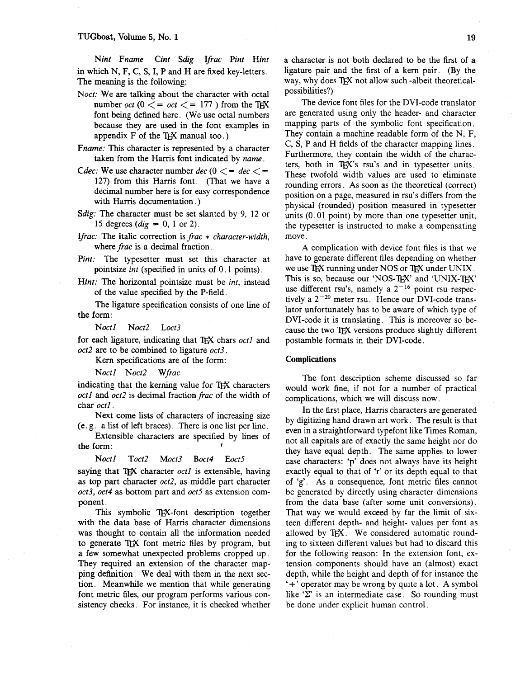Nint Fname Cint Sdig Ifrac Pint Hint in which N, F, C, S, I, P and H are fixed key-letters. The meaning is the following:

- Noct: We are talking about the character with octal number *oct* ( $0 \leq v \leq 177$ ) from the TEX font being defined here. (We use octal numbers because they are used in the font examples in appendix  $F$  of the T<sub>E</sub>X manual too.)
- Frame: This character is represented by a character taken from the Harris font indicated by *name*.
- Cdec: We use character number dec ( $0 \leq -$  dec  $\leq -$ 127) from this Harris font. (That we have a decimal number here is for easy correspondence with Harris documentation. )
- Sdig: The character must be set slanted by 9, 12 or 15 degrees  $(dig = 0, 1 \text{ or } 2)$ .
- Ifrac: The italic correction is frac  $*$  character-width, where *frac* is a decimal fraction.
- Pint: The typesetter must set this character at pointsize int (specified in units of 0.1 points).
- Hint: The horizontal pointsize must be int, instead of the value specified by the P-field.

The ligature specification consists of one line of the form:

Noct1 Noct2 Loct3

for each ligature, indicating that TEX chars octl and  $oct2$  are to be combined to ligature  $oct3$ .

Kern specifications are of the form:

Noctl Noct2 Wfrac

indicating that the kerning value for TEX characters octl and oct2 is decimal fraction frac of the width of char octl.

Next come lists of characters of increasing size (e. g. a list of left braces). There is one list per line.

Extensible characters are specified by lines of the form: **<sup>I</sup>**

Noct1 Toct2 Moct3 Boct4 Eoct5

saying that TFX character  $octl$  is extensible, having as top part character oct2, as middle part character  $oct3$ ,  $oct4$  as bottom part and  $oct5$  as extension component.

This symbolic TEX-font description together with the data base of Harris character dimensions was thought to contain all the information needed to generate TEX font metric files by program, but a few somewhat unexpected problems cropped up. They required an extension of the character mapping definition. We deal with them in the next section. Meanwhile we mention that while generating font metric files, our program performs various consistency checks. For instance, it is checked whether a character is not both declared to be the first of a ligature pair and the first of a kern pair. (By the way, why does TEX not allow such -albeit theoreticalpossibilities?)

The device font files for the DVI-code translator are generated using only the header- and character mapping parts of the symbolic font specification. They contain a machine readable form of the N, F, C, S, P and H fields of the character mapping lines. Furthermore, they contain the width of the characters, both in TFX's rsu's and in typesetter units. These twofold width values are used to eliminate rounding errors. As soon as the theoretical (correct) position on a page, measured in rsu's differs from the physical (rounded) position measured in typesetter units (0.01 point) by more than one typesetter unit, the typesetter is instructed to make a compensating move.

A complication with device font files is that we have to generate different files depending on whether we use  $T_{F}X$  running under NOS or  $T_{F}X$  under UNIX. This is so, because our 'NOS-TEX' and 'UNIX-TEX' use different rsu's, namely a  $2^{-16}$  point rsu respectively a **2-20** meter rsu. Hence our DVI-code translator unfortunately has to be aware of which type of DVI-code it is translating. This is moreover so because the two TEX versions produce slightly different postamble formats in their DVI-code.

#### Complications

The font description scheme discussed so far would work fine, if not for a number of practical complications, which we will discuss now.

In the first place, Harris characters are generated by digitizing hand drawn art work. The result is that even in a straightforward typefont like Times Roman, not all capitals are of exactly the same height nor do they have equal depth. The same applies to lower case characters: 'p' does not always have its height exactly equal to that of 'r' or its depth equal to that of 'g'. As a consequence, font metric files cannot be generated by directly using character dimensions from the data base (after some unit conversions). That way we would exceed by far the limit of sixteen different depth- and height- values per font as allowed by TEX. We considered automatic rounding to sixteen different values but had to discard this for the following reason: In the extension font, extension components should have an (almost) exact depth, while the height and depth of for instance the '+ ' operator may be wrong by quite a lot. A symbol like *'2'* is an intermediate case. So rounding must be done under explicit human control.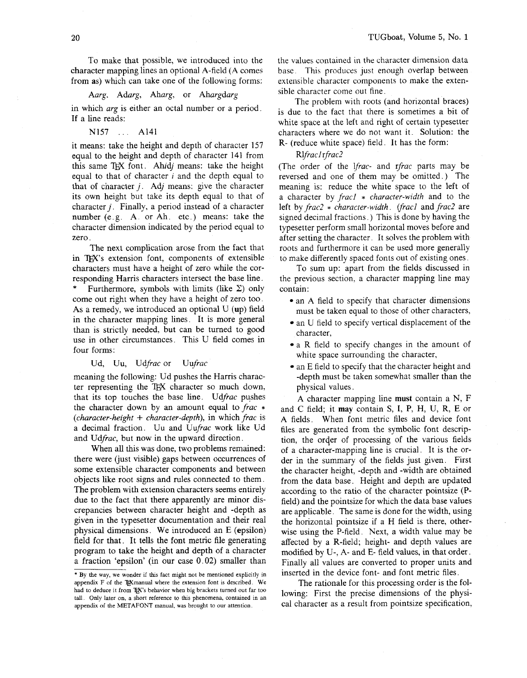To make that possible, we introduced into the character mapping lines an optional A-field (A comes from as) which can take one of the following forms:

Aarg. Adarg, Aharg, or Ahargdarg

in which *arg* is either an octal number or a period. If a line reads:

N157 ... A141

it means: take the height and depth of character 157 equal to the height and depth of character 141 from this same T<sub>RX</sub> font. Ahidj means: take the height equal to that of character  $i$  and the depth equal to that of character  $j$ . Adj means: give the character its own height but take its depth equal to that of character  $j$ . Finally, a period instead of a character number (e.g. A. or Ah. etc.) means: take the character dimension indicated by the period equal to zero.

The next complication arose from the fact that in TEX's extension font, components of extensible characters must have a height of zero whle the corresponding Harris characters intersect the base line.

Furthermore, symbols with limits (like  $\Sigma$ ) only come out right when they have a height of zero too. As a remedy, we introduced an optional U (up) field in the character mapping lines. It is more general than is strictly needed, but can be turned to good use in other circumstances. This U field comes in four forms:

#### Ud, Uu, Udfrac or Uufrac

meaning the following: Ud pushes the Harris character representing the TEX character so much down, that its top touches the base line. Udfrac pushes the character down by an amount equal to frac  $*$ (*character-height* + *character-depth*), in which *frac* is a decimal fraction. Uu and Uufrac work like Ud and Udfrac, but now in the upward direction.

When all this was done, two problems remained: there were (just visible) gaps between occurrences of some extensible character components and between objects like root signs and rules connected to them. The problem with extension characters seems entirely due to the fact that there apparently are minor discrepancies between character height and -depth as given in the typesetter documentation and their real physical dimensions. We introduced an E (epsilon) field for that. It tells the font metric file generating program to take the height and depth of a character a fraction 'epsilon' (in our case 0.02) smaller than

the values contained in the character dimension data base. This produces just enough overlap between extensible character components to make the extensible character come out fine.

The problem with roots (and horizontal braces) is due to the fact that there is sometimes a bit of white space at the left and right of certain typesetter characters where we do not want it. Solution: the R- (reduce white space) field. It has the form:

#### Rlfrac1 rfrac2

(The order of the *lfrac*- and *rfrac* parts may be reversed and one of them may be omitted.) The meaning is: reduce the white space to the left of a character by  $frac{1}{}$   $%$   $frac{1}{}$   $frac{1}{}$   $frac{1}{}$   $frac{1}{}$   $frac{1}{}$   $frac{1}{}$   $frac{1}{}$   $frac{1}{}$   $frac{1}{}$   $frac{1}{}$   $frac{1}{}$   $frac{1}{}$   $frac{1}{}$   $frac{1}{}$   $frac{1}{}$   $frac{1}{}$   $frac{1}{}$   $frac{1}{}$   $frac{1}{}$   $frac{1}{}$   $frac{1}{}$   $frac{1}{}$   $frac{1}{}$   $frac{1}{}$   $frac$ left by  $frac2*$  character-width. (frac1 and frac2 are signed decimal fractions. ) This is done by having the typesetter perform small horizontal moves before and after setting the character. It solves the problem with roots and furthermore it can be used more generally to make differently spaced fonts out of existing ones.

To sum up: apart from the fields discussed in the previous section, a character mapping line may contain:

- an A field to specify that character dimensions must be taken equal to those of other characters,
- an U field to specify vertical displacement of the character,
- a R field to specify changes in the amount of white space surrounding the character,
- an E field to specify that the character height and -depth must be taken somewhat smaller than the physical values.

**A** character mapping line must contain a N, F and C field; it may contain S, I, P, H, U, R, E or A fields. When font metric files and device font files are generated from the symbolic font description, the order of processing of the various fields of a character-mapping line is crucial. It is the order in the summary of the fields just given. First the character height, -depth and -width are obtained from the data base. Height and depth are updated according to the ratio of the character pointsize (Pfield) and the pointsize for whch the data base values are applicable. The same is done for the width, using the horizontal pointsize if a H field is there, otherwise using the P-field. Next, a width value may be affected by a R-field; height- and depth values are modified by U-, A- and E- field values, in that order. Finally all values are converted to proper units and inserted in the device font- and font metric files.

The rationale for this processing order is the following: First the precise dimensions of the physical character as a result from pointsize specification,

<sup>\*</sup> By the way, we wonder if this fact might not be mentioned explicitly in appendix F of the TXmanual where the extension font is described. We had to deduce it from TEX's behavior when big brackets turned out far too tall. Only later on, a short reference to this phenomena, contained in an appendix of the METAFONT manual, was brought to our attention.